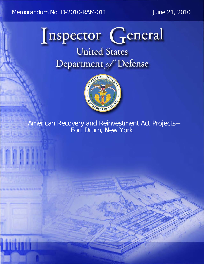Memorandum No. D-2010-RAM-011

June 21, 2010



**United States** Department of Defense



American Recovery and Reinvestment Act Projects-<br>Fort Drum, New York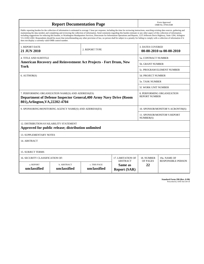|                                                                                                                                                                                                                                                                                                                                                                                                                                                                                                                                                                                                                                                                                                                                                                                                                                                                    |                             |                              |                                                   |                                                     | Form Approved              |  |
|--------------------------------------------------------------------------------------------------------------------------------------------------------------------------------------------------------------------------------------------------------------------------------------------------------------------------------------------------------------------------------------------------------------------------------------------------------------------------------------------------------------------------------------------------------------------------------------------------------------------------------------------------------------------------------------------------------------------------------------------------------------------------------------------------------------------------------------------------------------------|-----------------------------|------------------------------|---------------------------------------------------|-----------------------------------------------------|----------------------------|--|
| <b>Report Documentation Page</b>                                                                                                                                                                                                                                                                                                                                                                                                                                                                                                                                                                                                                                                                                                                                                                                                                                   |                             |                              |                                                   | OMB No. 0704-0188                                   |                            |  |
| Public reporting burden for the collection of information is estimated to average 1 hour per response, including the time for reviewing instructions, searching existing data sources, gathering and<br>maintaining the data needed, and completing and reviewing the collection of information. Send comments regarding this burden estimate or any other aspect of this collection of information,<br>including suggestions for reducing this burden, to Washington Headquarters Services, Directorate for Information Operations and Reports, 1215 Jefferson Davis Highway, Suite 1204, Arlington<br>VA 22202-4302. Respondents should be aware that notwithstanding any other provision of law, no person shall be subject to a penalty for failing to comply with a collection of information if it<br>does not display a currently valid OMB control number. |                             |                              |                                                   |                                                     |                            |  |
| 1. REPORT DATE<br>21 JUN 2010                                                                                                                                                                                                                                                                                                                                                                                                                                                                                                                                                                                                                                                                                                                                                                                                                                      |                             | 2. REPORT TYPE               |                                                   | <b>3. DATES COVERED</b><br>00-00-2010 to 00-00-2010 |                            |  |
| <b>4. TITLE AND SUBTITLE</b>                                                                                                                                                                                                                                                                                                                                                                                                                                                                                                                                                                                                                                                                                                                                                                                                                                       |                             |                              |                                                   | <b>5a. CONTRACT NUMBER</b>                          |                            |  |
| <b>American Recovery and Reinvestment Act Projects - Fort Drum, New</b>                                                                                                                                                                                                                                                                                                                                                                                                                                                                                                                                                                                                                                                                                                                                                                                            |                             |                              |                                                   | 5b. GRANT NUMBER                                    |                            |  |
| York                                                                                                                                                                                                                                                                                                                                                                                                                                                                                                                                                                                                                                                                                                                                                                                                                                                               |                             |                              |                                                   |                                                     | 5c. PROGRAM ELEMENT NUMBER |  |
| 6. AUTHOR(S)                                                                                                                                                                                                                                                                                                                                                                                                                                                                                                                                                                                                                                                                                                                                                                                                                                                       |                             |                              | <b>5d. PROJECT NUMBER</b>                         |                                                     |                            |  |
|                                                                                                                                                                                                                                                                                                                                                                                                                                                                                                                                                                                                                                                                                                                                                                                                                                                                    |                             |                              |                                                   |                                                     | <b>5e. TASK NUMBER</b>     |  |
|                                                                                                                                                                                                                                                                                                                                                                                                                                                                                                                                                                                                                                                                                                                                                                                                                                                                    |                             |                              |                                                   |                                                     | 5f. WORK UNIT NUMBER       |  |
| 7. PERFORMING ORGANIZATION NAME(S) AND ADDRESS(ES)<br>Department of Defense Inspector General, 400 Army Navy Drive (Room<br>801), Arlington, VA, 22202-4704                                                                                                                                                                                                                                                                                                                                                                                                                                                                                                                                                                                                                                                                                                        |                             |                              |                                                   | 8. PERFORMING ORGANIZATION<br><b>REPORT NUMBER</b>  |                            |  |
| 9. SPONSORING/MONITORING AGENCY NAME(S) AND ADDRESS(ES)                                                                                                                                                                                                                                                                                                                                                                                                                                                                                                                                                                                                                                                                                                                                                                                                            |                             |                              | 10. SPONSOR/MONITOR'S ACRONYM(S)                  |                                                     |                            |  |
|                                                                                                                                                                                                                                                                                                                                                                                                                                                                                                                                                                                                                                                                                                                                                                                                                                                                    |                             |                              |                                                   | <b>11. SPONSOR/MONITOR'S REPORT</b><br>NUMBER(S)    |                            |  |
| 12. DISTRIBUTION/AVAILABILITY STATEMENT<br>Approved for public release; distribution unlimited                                                                                                                                                                                                                                                                                                                                                                                                                                                                                                                                                                                                                                                                                                                                                                     |                             |                              |                                                   |                                                     |                            |  |
| <b>13. SUPPLEMENTARY NOTES</b>                                                                                                                                                                                                                                                                                                                                                                                                                                                                                                                                                                                                                                                                                                                                                                                                                                     |                             |                              |                                                   |                                                     |                            |  |
| 14. ABSTRACT                                                                                                                                                                                                                                                                                                                                                                                                                                                                                                                                                                                                                                                                                                                                                                                                                                                       |                             |                              |                                                   |                                                     |                            |  |
| <b>15. SUBJECT TERMS</b>                                                                                                                                                                                                                                                                                                                                                                                                                                                                                                                                                                                                                                                                                                                                                                                                                                           |                             |                              |                                                   |                                                     |                            |  |
| 16. SECURITY CLASSIFICATION OF:<br>17. LIMITATION OF                                                                                                                                                                                                                                                                                                                                                                                                                                                                                                                                                                                                                                                                                                                                                                                                               |                             |                              |                                                   | 18. NUMBER                                          | 19a. NAME OF               |  |
| a. REPORT<br>unclassified                                                                                                                                                                                                                                                                                                                                                                                                                                                                                                                                                                                                                                                                                                                                                                                                                                          | b. ABSTRACT<br>unclassified | c. THIS PAGE<br>unclassified | <b>ABSTRACT</b><br>Same as<br><b>Report (SAR)</b> | OF PAGES<br>22                                      | <b>RESPONSIBLE PERSON</b>  |  |

| <b>Standard Form 298 (Rev. 8-98)</b> |                               |  |  |
|--------------------------------------|-------------------------------|--|--|
|                                      | Prescribed by ANSI Std Z39-18 |  |  |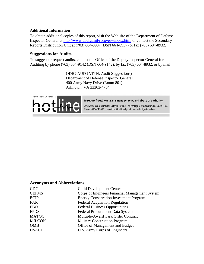#### **Additional Information**

To obtain additional copies of this report, visit the Web site of the Department of Defense Inspector General at http://www.dodig.mil/recovery/index.html or contact the Secondary Reports Distribution Unit at (703) 604-8937 (DSN 664-8937) or fax (703) 604-8932.

#### **Suggestions for Audits**

To suggest or request audits, contact the Office of the Deputy Inspector General for Auditing by phone (703) 604-9142 (DSN 664-9142), by fax (703) 604-8932, or by mail:

 Arlington, VA 22202-4704 ODIG-AUD (ATTN: Audit Suggestions) Department of Defense Inspector General 400 Army Navy Drive (Room 801)



To report fraud, waste, mismanagement, and abuse of authority.

Send written complaints to: Defense Hotline, The Pentagon, Washington, DC 20301-1900 Phone: 800.424.9098 e-mail: hotline@dodig.mil www.dodig.mil/hotline

#### **Acronyms and Abbreviations**

| <b>CDC</b>    | <b>Child Development Center</b>                |
|---------------|------------------------------------------------|
| <b>CEFMS</b>  | Corps of Engineers Financial Management System |
| <b>ECIP</b>   | <b>Energy Conservation Investment Program</b>  |
| FAR           | <b>Federal Acquisition Regulation</b>          |
| <b>FBO</b>    | <b>Federal Business Opportunities</b>          |
| <b>FPDS</b>   | Federal Procurement Data System                |
| <b>MATOC</b>  | Multiple-Award Task Order Contract             |
| <b>MILCON</b> | <b>Military Construction Program</b>           |
| <b>OMB</b>    | Office of Management and Budget                |
| <b>USACE</b>  | U.S. Army Corps of Engineers                   |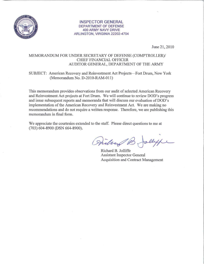

#### INSPECTOR GENERAL DEPARTMENT OF DEFENSE 400 ARMY NAVY DRIVE ARLINGTON, VIRGINIA 22202-4704

June 21, 2010

#### MEMORANDUM FOR UNDER SECRETARY OF DEFENSE (COMPTROLLER)/ CHIEF FINANCIAL OFFICER AUDITOR GENERAL, DEPARTMENT OF THE ARMY

#### SUBJECT: American Recovery and Reinvestment Act Projects- Fort Drum, New York (Memorandwn No. D-2010-RAM-Oll)

This memorandum provides observations from our audit of selected American Recovery and Reinvestment Act projects at Fort Drum. We will continue to review DOD's progress and issue subsequent reports and memoranda that will discuss our evaluation of DOD's implementation of the American Recovery and Reinvestment Act. We are making no recommendations and do not require a written response. Therefore, we are publishing this memorandum in final form.

We appreciate the courtesies extended to the staff. Please direct questions to me at (703) 604-8900 (DSN 664-8900).

allype Willing

Richard B. Jolliffe Assistant Inspector General Acquisition and Contract Management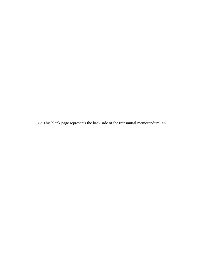>> This blank page represents the back side of the transmittal memorandum. <<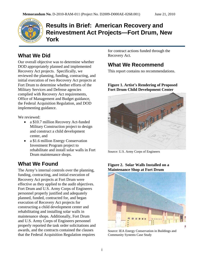

## **Results in Brief: American Recovery and Reinvestment Act Projects—Fort Drum, New York**

#### **What We Did**

Our overall objective was to determine whether DOD appropriately planned and implemented Recovery Act projects. Specifically, we reviewed the planning, funding, contracting, and initial execution of two Recovery Act projects at Fort Drum to determine whether efforts of the Military Services and Defense agencies complied with Recovery Act requirements, Office of Management and Budget guidance, the Federal Acquisition Regulation, and DOD implementing guidance.

We reviewed:

- a \$10.7 million Recovery Act-funded Military Construction project to design and construct a child development center, and
- a \$1.6 million Energy Conservation Investment Program project to rehabilitate and install solar walls in Fort Drum maintenance shops.

#### **What We Found**

The Army's internal controls over the planning, funding, contracting, and initial execution of Recovery Act projects at Fort Drum were effective as they applied to the audit objectives. Fort Drum and U.S. Army Corps of Engineers personnel properly justified and adequately planned, funded, contracted for, and began execution of Recovery Act projects for constructing a child development center and rehabilitating and installing solar walls in maintenance shops. Additionally, Fort Drum and U.S. Army Corps of Engineers personnel properly reported the task order solicitations and awards, and the contracts contained the clauses that the Federal Acquisition Regulation requires

for contract actions funded through the Recovery Act.

#### **What We Recommend**

This report contains no recommendations.

#### **Figure 1. Artist's Rendering of Proposed Fort Drum Child Development Center**



Source: U.S. Army Corps of Engineers

#### **Figure 2. Solar Walls Installed on a Maintenance Shop at Fort Drum**



Source: IEA Energy Conservation in Buildings and Community Systems Case Study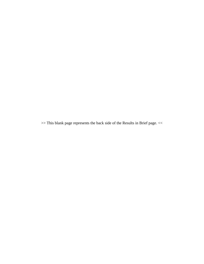>> This blank page represents the back side of the Results in Brief page. <<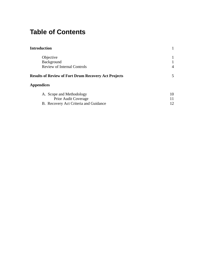# **Table of Contents**

| <b>Introduction</b>                                         |                |
|-------------------------------------------------------------|----------------|
| Objective                                                   |                |
| Background                                                  |                |
| <b>Review of Internal Controls</b>                          | $\overline{A}$ |
| <b>Results of Review of Fort Drum Recovery Act Projects</b> | 5              |
| <b>Appendices</b>                                           |                |
| A. Scope and Methodology                                    | 10             |
| Prior Audit Coverage                                        | 11             |
| B. Recovery Act Criteria and Guidance                       | 12             |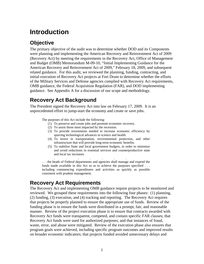# <span id="page-8-0"></span>**Introduction**

### **Objective**

The primary objective of the audit was to determine whether DOD and its Components were planning and implementing the American Recovery and Reinvestment Act of 2009 (Recovery Act) by meeting the requirements in the Recovery Act, Office of Management and Budget (OMB) Memorandum M-09-10, "Initial Implementing Guidance for the American Recovery and Reinvestment Act of 2009," February 18, 2009, and subsequent related guidance. For this audit, we reviewed the planning, funding, contracting, and initial execution of Recovery Act projects at Fort Drum to determine whether the efforts of the Military Services and Defense agencies complied with Recovery Act requirements, OMB guidance, the Federal Acquisition Regulation (FAR), and DOD implementing guidance. See Appendix A for a discussion of our scope and methodology.

#### **Recovery Act Background**

The President signed the Recovery Act into law on February 17, 2009. It is an unprecedented effort to jump-start the economy and create or save jobs.

The purposes of this Act include the following:

- (1) To preserve and create jobs and promote economic recovery.
- (2) To assist those most impacted by the recession.
- (3) To provide investments needed to increase economic efficiency by spurring technological advances in science and health.
- (4) To invest in transportation, environmental protection, and other infrastructure that will provide long-term economic benefits.
- (5) To stabilize State and local government budgets, in order to minimize and avoid reductions in essential services and counterproductive state and local tax increases

. . . . . . . . . . the heads of Federal departments and agencies shall manage and expend the funds made available in this Act so as to achieve the purposes specified . . . including commencing expenditures and activities as quickly as possible consistent with prudent management.

#### **Recovery Act Requirements**

The Recovery Act and implementing OMB guidance require projects to be monitored and reviewed. We grouped these requirements into the following four phases: (1) planning, (2) funding, (3) execution, and (4) tracking and reporting. The Recovery Act requires that projects be properly planned to ensure the appropriate use of funds. Review of the funding phase is to ensure the funds were distributed in a prompt, fair, and reasonable manner. Review of the project execution phase is to ensure that contracts awarded with Recovery Act funds were transparent, competed, and contain specific FAR clauses; that Recovery Act funds were used for authorized purposes; and that instances of fraud, waste, error, and abuse were mitigated. Review of the execution phase also ensures that program goals were achieved, including specific program outcomes and improved results on broader economic indicators; that projects funded avoided unnecessary delays and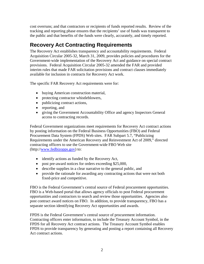cost overruns; and that contractors or recipients of funds reported results. Review of the tracking and reporting phase ensures that the recipients' use of funds was transparent to the public and that benefits of the funds were clearly, accurately, and timely reported.

## **Recovery Act Contracting Requirements**

The Recovery Act establishes transparency and accountability requirements. Federal Acquisition Circular 2005-32, March 31, 2009, provides policies and procedures for the Government-wide implementation of the Recovery Act and guidance on special contract provisions. Federal Acquisition Circular 2005-32 amended the FAR and provided interim rules that made FAR solicitation provisions and contract clauses immediately available for inclusion in contracts for Recovery Act work.

The specific FAR Recovery Act requirements were for:

- buying American construction material,
- protecting contractor whistleblowers,
- publicizing contract actions,
- reporting, and
- giving the Government Accountability Office and agency Inspectors General access to contracting records.

Federal Government organizations meet requirements for Recovery Act contract actions by posting information on the Federal Business Opportunities (FBO) and Federal Procurement Data System (FPDS) Web sites. FAR Subpart 5.7, "Publicizing Requirements under the American Recovery and Reinvestment Act of 2009," directed contracting officers to use the Government-wide FBO Web site (http://www.fedbizopps.gov) to:

- identify actions as funded by the Recovery Act,
- post pre-award notices for orders exceeding \$25,000,
- describe supplies in a clear narrative to the general public, and
- provide the rationale for awarding any contracting actions that were not both fixed-price and competitive.

FBO is the Federal Government's central source of Federal procurement opportunities. FBO is a Web-based portal that allows agency officials to post Federal procurement opportunities and contractors to search and review those opportunities. Agencies also post contract award notices on FBO. In addition, to provide transparency, FBO has a separate section identifying Recovery Act opportunities and awards.

FPDS is the Federal Government's central source of procurement information. Contracting officers enter information, to include the Treasury Account Symbol, in the FPDS for all Recovery Act contract actions. The Treasury Account Symbol enables FPDS to provide transparency by generating and posting a report containing all Recovery Act contract actions.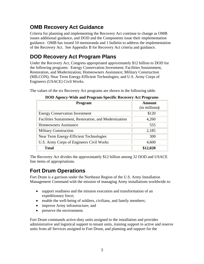## **OMB Recovery Act Guidance**

Criteria for planning and implementing the Recovery Act continue to change as OMB issues additional guidance, and DOD and the Components issue their implementation guidance. OMB has issued 10 memoranda and 1 bulletin to address the implementation of the Recovery Act. See Appendix B for Recovery Act criteria and guidance.

## **DOD Recovery Act Program Plans**

Under the Recovery Act, Congress appropriated approximately \$12 billion to DOD for the following programs: Energy Conservation Investment; Facilities Sustainment, Restoration, and Modernization; Homeowners Assistance; Military Construction (MILCON); Near Term Energy-Efficient Technologies; and U.S. Army Corps of Engineers (USACE) Civil Works.

The values of the six Recovery Act programs are shown in the following table.

| Program                                                | <b>Amount</b><br>(in millions) |
|--------------------------------------------------------|--------------------------------|
| <b>Energy Conservation Investment</b>                  | \$120                          |
| Facilities Sustainment, Restoration, and Modernization | 4,260                          |
| <b>Homeowners Assistance</b>                           | 555                            |
| <b>Military Construction</b>                           | 2,185                          |
| Near Term Energy-Efficient Technologies                | 300                            |
| U.S. Army Corps of Engineers Civil Works               | 4,600                          |
| <b>Total</b>                                           | \$12,020                       |

**DOD Agency-Wide and Program-Specific Recovery Act Programs** 

The Recovery Act divides the approximately \$12 billion among 32 DOD and USACE line items of appropriations.

## **Fort Drum Operations**

Fort Drum is a garrison under the Northeast Region of the U.S. Army Installation Management Command with the mission of managing Army installations worldwide to:

- support readiness and the mission execution and transformation of an expeditionary force;
- enable the well-being of soldiers, civilians, and family members;
- improve Army infrastructure; and
- preserve the environment.

Fort Drum commands active-duty units assigned to the installation and provides administrative and logistical support to tenant units, training support to active and reserve units from all Services assigned to Fort Drum, and planning and support for the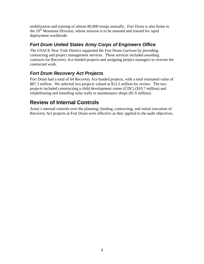<span id="page-11-0"></span>mobilization and training of almost 80,000 troops annually. Fort Drum is also home to the  $10<sup>th</sup>$  Mountain Division, whose mission is to be manned and trained for rapid deployment worldwide.

#### *Fort Drum United States Army Corps of Engineers Office*

The USACE New York District supported the Fort Drum Garrison by providing contracting and project management services. These services included awarding contracts for Recovery Act-funded projects and assigning project managers to oversee the contracted work.

#### *Fort Drum Recovery Act Projects*

Fort Drum had a total of 64 Recovery Act-funded projects, with a total estimated value of \$87.3 million. We selected two projects valued at \$12.3 million for review. The two projects included constructing a child development center (CDC) (\$10.7 million) and rehabilitating and installing solar walls in maintenance shops (\$1.6 million).

#### **Review of Internal Controls**

Army's internal controls over the planning, funding, contracting, and initial execution of Recovery Act projects at Fort Drum were effective as they applied to the audit objectives.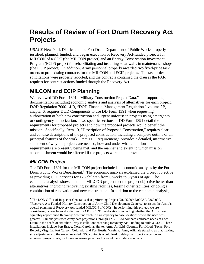# <span id="page-12-0"></span>**Results of Review of Fort Drum Recovery Act Projects**

USACE New York District and the Fort Drum Department of Public Works properly justified, planned, funded, and began execution of Recovery Act-funded projects for MILCON of a CDC (the MILCON project) and an Energy Conservation Investment Program (ECIP) project for rehabilitating and installing solar walls in maintenance shops (the ECIP project). In addition, Army personnel properly awarded two fixed-price task orders to pre-existing contracts for the MILCON and ECIP projects. The task order solicitations were properly reported, and the contracts contained the clauses the FAR requires for contract actions funded through the Recovery Act.

## **MILCON and ECIP Planning**

We reviewed DD Form 1391, "Military Construction Project Data," and supporting documentation including economic analysis and analysis of alternatives for each project. DOD Regulation 7000.14-R, "DOD Financial Management Regulation," volume 2B, chapter 6, requires DOD Components to use DD Form 1391 when requesting authorization of both new construction and urgent unforeseen projects using emergency or contingency authorization. Two specific sections of DD Form 1391 detail the requirements for proposed projects and how the proposed projects would benefit the mission. Specifically, Item 10, "Description of Proposed Construction," requires clear and concise descriptions of the proposed construction, including a complete outline of all principal features of the work. Item 11, "Requirement," provides a detailed, informative statement of why the projects are needed, how and under what conditions the requirements are presently being met, and the manner and extent to which mission accomplishment would be affected if the projects were not approved.

#### *MILCON Project*

1

The DD Form 1391 for the MILCON project included an economic analysis by the Fort Drum Public Works Department.<sup>1</sup> The economic analysis explained the project objective as providing CDC services for 126 children from 6 weeks to 5 years of age. The economic analysis showed that the MILCON project met the project objective better than alternatives, including renovating existing facilities, leasing other facilities, or doing a combination of renovation and new construction. In addition to the economic analysis,

 "Recovery Act-Funded Military Construction of Army Child Development Centers," to assess the Army's overall planning of Recovery Act-funded MILCON of CDCs. In performing this project, we are size adjustments to the seven awarded CDC contracts would lead to delays in project execution and <sup>1</sup> The DOD Office of Inspector General is also performing Project No. D2009-D000AE-0268.000, considering factors beyond individual DD Form 1391 justifications, including whether the Army most equitably apportioned Recovery Act-funded child care capacity to base locations where the need was greatest. Our analysis uses Army data projections through FY 2015 to compare childcare needs of Fort Drum to the needs of six other Army installations receiving Recovery Act Funding to build a CDC. These installations include Fort Bragg, North Carolina; Hunter Army Airfield, Georgia; Fort Hood, Texas; Fort Belvoir, Virginia; Fort Carson, Colorado; and Fort Eustis, Virginia. Army officials stated to us that making increased project costs, including incurring penalties to cancel the existing contracts.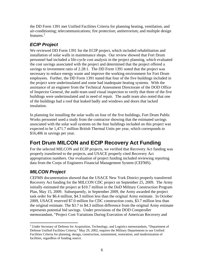the DD Form 1391 met Unified Facilities Criteria for planning heating, ventilation, and air-conditioning; telecommunications; fire protection; antiterrorism; and multiple design features.<sup>2</sup>

#### *ECIP Project*

We reviewed DD Form 1391 for the ECIP project, which included rehabilitation and installation of solar walls in maintenance shops. Our review showed that Fort Drum personnel had included a life-cycle cost analysis in the project planning, which evaluated the cost savings associated with the project and determined that the project offered a savings to investment ratio of 2.28:1. The DD Form 1391 noted that the project was necessary to reduce energy waste and improve the working environment for Fort Drum employees. Further, the DD Form 1391 stated that four of the five buildings included in the project were underinsulated and some had inadequate heating systems. With the assistance of an engineer from the Technical Assessment Directorate of the DOD Office of Inspector General, the audit team used visual inspection to verify that three of the five buildings were underinsulated and in need of repair. The audit team also noted that one of the buildings had a roof that leaked badly and windows and doors that lacked insulation.

In planning for installing the solar walls on four of the five buildings, Fort Drum Public Works personnel used a study from the contractor showing that the estimated savings associated with the solar wall systems on the four buildings included on this project was expected to be 1,471.7 million British Thermal Units per year, which corresponds to \$16,406 in savings per year.

## **Fort Drum MILCON and ECIP Recovery Act Funding**

For the selected MILCON and ECIP projects, we verified that Recovery Act funding was properly transferred to the projects, and USACE properly cited Recovery Act appropriation numbers. Our evaluation of project funding included reviewing reporting data from the Corps of Engineers Financial Management System (CEFMS).

#### *MILCON Project*

CEFMS documentation showed that the USACE New York District properly transferred Recovery Act funding for the MILCON CDC project on September 25, 2009. The Army initially estimated the project at \$10.7 million in the DoD Military Construction Program Plan, May 15, 2009. Subsequently, in September 2009, the Army awarded the project task order for \$6.4 million, \$4.3 million less than the original Army estimate. In October 2009, USACE reserved \$7.0 million for CDC construction costs, \$3.7 million less than the original estimate. The \$3.7 to \$4.3 million difference from the original Army estimate represents potential bid savings. Under provisions of the DOD Comptroller memorandum, "Project Cost Variations During Execution of American Recovery and

 $\overline{a}$  Defense Unified Facilities Criteria," May 29, 2002, requires the Military Departments to use Unified <sup>2</sup> Under Secretary of Defense for Acquisition, Technology, and Logistics memorandum, "Department of Facilities Criteria for planning, design, construction, sustainment, restoration, and modernization of facilities, regardless of funding source.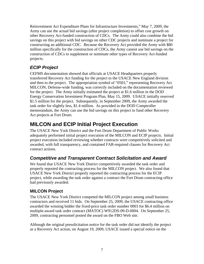Reinvestment Act Expenditure Plans for Infrastructure Investments," May 7, 2009, the Army can use the actual bid savings (after project completion) to offset cost growth on other Recovery Act-funded construction of CDCs. The Army could also combine the bid savings on this project with bid savings on other CDC projects and nominate a project for constructing an additional CDC. Because the Recovery Act provided the Army with \$80 million specifically for the construction of CDCs, the Army cannot use bid savings on the construction of CDCs to supplement or nominate other types of Recovery Act-funded projects.

#### *ECIP Project*

CEFMS documentation showed that officials at USACE Headquarters properly transferred Recovery Act funding for the project to the USACE New England division and then to the project. The appropriation symbol of "0501," representing Recovery Act MILCON, Defense-wide funding, was correctly included on the documentation reviewed for the project. The Army initially estimated the project at \$1.6 million in the DOD Energy Conservation Investment Program Plan, May 15, 2009. USACE initially reserved \$1.5 million for the project. Subsequently, in September 2009, the Army awarded the task order for slightly less, \$1.4 million. As provided in the DOD Comptroller memorandum, the Army can use the bid savings on this project to fund other Recovery Act projects at Fort Drum.

## **MILCON and ECIP Initial Project Execution**

The USACE New York District and the Fort Drum Department of Public Works adequately performed initial project execution of the MILCON and ECIP projects. Initial project execution included reviewing whether contracts were competitively solicited and awarded, with full transparency, and contained FAR-required clauses for Recovery Act contract actions.

#### *Competitive and Transparent Contract Solicitation and Award*

We found that USACE New York District competitively awarded the task order and properly reported the contracting process for the MILCON project. We also found that USACE New York District properly reported the contracting process for the ECIP project, while awarding the task order against a contract the Fort Drum contracting office had previously awarded.

#### **MILCON Project**

The USACE New York District competed the MILCON project among small business contractors and received 11 bids. On September 25, 2009, the USACE contracting office awarded the winning bidder the fixed-price task order number 0003 for \$6.4 million on multiple-award task order contract (MATOC) W912DS-09-D-0004. On September 25, 2009, contracting personnel posted the award on the FBO Web site.

Although the original presolicitation notice for the task order did not identify the project as a Recovery Act action, on August 19, 2009, USACE issued a special notice on the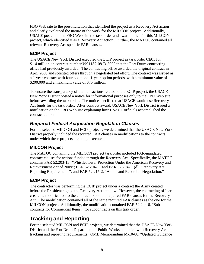FBO Web site to the presolicitation that identified the project as a Recovery Act action and clearly explained the nature of the work for the MILCON project. Additionally, USACE posted on the FBO Web site the task order and award notice for this MILCON project, which identified it as a Recovery Act action. Further, the MATOC contained all relevant Recovery Act-specific FAR clauses.

#### **ECIP Project**

The USACE New York District executed the ECIP project as task order CE01 for \$1.4 million on contract number W911S2-08-D-8002 that the Fort Drum contracting office had previously awarded. The contracting office awarded the original contract in April 2008 and solicited offers through a negotiated bid effort. The contract was issued as a 1-year contract with four additional 1-year option periods, with a minimum value of \$200,000 and a maximum value of \$75 million.

To ensure the transparency of the transactions related to the ECIP project, the USACE New York District posted a notice for informational purposes only to the FBO Web site before awarding the task order. The notice specified that USACE would use Recovery Act funds for the task order. After contract award, USACE New York District issued a notification on the FBO Web site explaining how USACE officials accomplished the contract action.

#### *Required Federal Acquisition Regulation Clauses*

For the selected MILCON and ECIP projects, we determined that the USACE New York District properly included the required FAR clauses in modifications to the contracts under which these projects are being executed.

#### **MILCON Project**

The MATOC containing the MILCON project task order included FAR-mandated contract clauses for actions funded through the Recovery Act. Specifically, the MATOC contains FAR 52.203-15, "Whistleblower Protection Under the American Recovery and Reinvestment Act of 2009"; FAR 52.204-11 and FAR 52.204-11(d), "Recovery Act Reporting Requirements"; and FAR 52.215-2, "Audits and Records – Negotiation."

#### **ECIP Project**

The contractor was performing the ECIP project under a contract the Army created before the President signed the Recovery Act into law. However, the contracting officer created a modification to the contract to add the required FAR clauses for the Recovery Act. The modification contained all of the same required FAR clauses as the one for the MILCON project. Additionally, the modification contained FAR 52.244-6, "Subcontracts for Commercial Items," for subcontracts on this task order.

# **Tracking and Reporting**

For the selected MILCON and ECIP projects, we determined that the USACE New York District and the Fort Drum Department of Public Works complied with Recovery Act tracking and reporting requirements. OMB Memorandum M-10-08, "Updated Guidance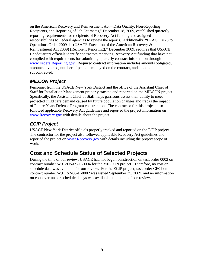on the American Recovery and Reinvestment Act – Data Quality, Non-Reporting Recipients, and Reporting of Job Estimates," December 18, 2009, established quarterly reporting requirements for recipients of Recovery Act funding and assigned responsibilities to Federal agencies to review the reports. Additionally, "FRAGO # 25 to Operations Order 2009-11 (USACE Execution of the American Recovery & Reinvestment Act 2009) (Recipient Reporting)," December 2009, requires that USACE Headquarters officials identify contractors receiving Recovery Act funding that have not complied with requirements for submitting quarterly contract information through www.FederalReporting.gov. Required contract information includes amounts obligated, amounts invoiced, number of people employed on the contract, and amount subcontracted.

#### *MILCON Project*

Personnel from the USACE New York District and the office of the Assistant Chief of Staff for Installation Management properly tracked and reported on the MILCON project. Specifically, the Assistant Chief of Staff helps garrisons assess their ability to meet projected child care demand caused by future population changes and tracks the impact of Future Years Defense Program construction. The contractor for this project also followed applicable Recovery Act guidelines and reported the project information on www.Recovery.gov with details about the project.

#### *ECIP Project*

USACE New York District officials properly tracked and reported on the ECIP project. The contractor for the project also followed applicable Recovery Act guidelines and reported the project on www.Recovery.gov with details including the project scope of work.

# **Cost and Schedule Status of Selected Projects**

During the time of our review, USACE had not begun construction on task order 0003 on contract number W912DS-09-D-0004 for the MILCON project. Therefore, no cost or schedule data was available for our review. For the ECIP project, task order CE01 on contract number W911S2-08-D-8002 was issued September 25, 2009, and no information on cost overruns or schedule delays was available at the time of our review.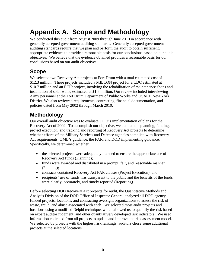# <span id="page-17-0"></span>**Appendix A. Scope and Methodology**

We conducted this audit from August 2009 through June 2010 in accordance with generally accepted government auditing standards. Generally accepted government auditing standards require that we plan and perform the audit to obtain sufficient, appropriate evidence to provide a reasonable basis for our conclusions based on our audit objectives. We believe that the evidence obtained provides a reasonable basis for our conclusions based on our audit objectives.

# **Scope**

We selected two Recovery Act projects at Fort Drum with a total estimated cost of \$12.3 million. These projects included a MILCON project for a CDC estimated at \$10.7 million and an ECIP project, involving the rehabilitation of maintenance shops and installation of solar walls, estimated at \$1.6 million. Our review included interviewing Army personnel at the Fort Drum Department of Public Works and USACE New York District. We also reviewed requirements, contracting, financial documentation, and policies dated from May 2002 through March 2010.

# **Methodology**

Our overall audit objective was to evaluate DOD's implementation of plans for the Recovery Act of 2009. To accomplish our objective, we audited the planning, funding, project execution, and tracking and reporting of Recovery Act projects to determine whether efforts of the Military Services and Defense agencies complied with Recovery Act requirements, OMB's guidance, the FAR, and DOD implementing guidance. Specifically, we determined whether:

- the selected projects were adequately planned to ensure the appropriate use of Recovery Act funds (Planning);
- funds were awarded and distributed in a prompt, fair, and reasonable manner (Funding);
- contracts contained Recovery Act FAR clauses (Project Execution); and
- recipients' use of funds was transparent to the public and the benefits of the funds were clearly, accurately, and timely reported (Reporting).

Before selecting DOD Recovery Act projects for audit, the Quantitative Methods and Analysis Division of the DOD Office of Inspector General analyzed all DOD agencyfunded projects, locations, and contracting oversight organizations to assess the risk of waste, fraud, and abuse associated with each. We selected most audit projects and locations using a modified Delphi technique, which allowed us to quantify the risk based on expert auditor judgment, and other quantitatively developed risk indicators. We used information collected from all projects to update and improve the risk assessment model. We selected 83 projects with the highest risk rankings; auditors chose some additional projects at the selected locations.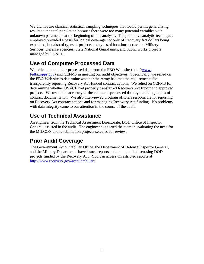<span id="page-18-0"></span>We did not use classical statistical sampling techniques that would permit generalizing results to the total population because there were too many potential variables with unknown parameters at the beginning of this analysis. The predictive analytic techniques employed provided a basis for logical coverage not only of Recovery Act dollars being expended, but also of types of projects and types of locations across the Military Services, Defense agencies, State National Guard units, and public works projects managed by USACE.

## **Use of Computer-Processed Data**

We relied on computer-processed data from the FBO Web site (http://www. fedbizopps.gov) and CEFMS in meeting our audit objectives. Specifically, we relied on the FBO Web site to determine whether the Army had met the requirements for transparently reporting Recovery Act-funded contract actions. We relied on CEFMS for determining whether USACE had properly transferred Recovery Act funding to approved projects. We tested the accuracy of the computer-processed data by obtaining copies of contract documentation. We also interviewed program officials responsible for reporting on Recovery Act contract actions and for managing Recovery Act funding. No problems with data integrity came to our attention in the course of the audit.

# **Use of Technical Assistance**

An engineer from the Technical Assessment Directorate, DOD Office of Inspector General, assisted in the audit. The engineer supported the team in evaluating the need for the MILCON and rehabilitation projects selected for review.

# **Prior Audit Coverage**

The Government Accountability Office, the Department of Defense Inspector General, and the Military Departments have issued reports and memoranda discussing DOD projects funded by the Recovery Act. You can access unrestricted reports at http://www.recovery.gov/accountability/.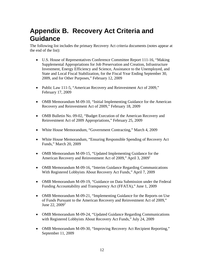# <span id="page-19-0"></span>**Appendix B. Recovery Act Criteria and Guidance**

The following list includes the primary Recovery Act criteria documents (notes appear at the end of the list):

- U.S. House of Representatives Conference Committee Report 111-16, "Making Supplemental Appropriations for Job Preservation and Creation, Infrastructure Investment, Energy Efficiency and Science, Assistance to the Unemployed, and State and Local Fiscal Stabilization, for the Fiscal Year Ending September 30, 2009, and for Other Purposes," February 12, 2009
- Public Law 111-5, "American Recovery and Reinvestment Act of 2009," February 17, 2009
- OMB Memorandum M-09-10, "Initial Implementing Guidance for the American Recovery and Reinvestment Act of 2009," February 18, 2009
- OMB Bulletin No. 09-02, "Budget Execution of the American Recovery and Reinvestment Act of 2009 Appropriations," February 25, 2009
- White House Memorandum, "Government Contracting," March 4, 2009
- White House Memorandum, "Ensuring Responsible Spending of Recovery Act Funds," March 20, 2009
- OMB Memorandum M-09-15, "Updated Implementing Guidance for the American Recovery and Reinvestment Act of 2009," April 3, 2009<sup>1</sup>
- OMB Memorandum M-09-16, "Interim Guidance Regarding Communications With Registered Lobbyists About Recovery Act Funds," April 7, 2009
- OMB Memorandum M-09-19, "Guidance on Data Submission under the Federal Funding Accountability and Transparency Act (FFATA)," June 1, 2009
- OMB Memorandum M-09-21, "Implementing Guidance for the Reports on Use of Funds Pursuant to the American Recovery and Reinvestment Act of 2009," June 22,  $2009^2$
- OMB Memorandum M-09-24, "Updated Guidance Regarding Communications with Registered Lobbyists About Recovery Act Funds," July 24, 2009
- OMB Memorandum M-09-30, "Improving Recovery Act Recipient Reporting," September 11, 2009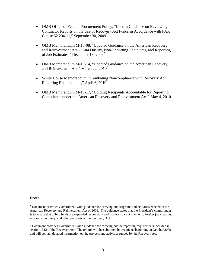- OMB Office of Federal Procurement Policy, "Interim Guidance on Reviewing Contractor Reports on the Use of Recovery Act Funds in Accordance with FAR Clause 52.204-11," September 30, 2009<sup>2</sup>
- OMB Memorandum M-10-08, "Updated Guidance on the American Recovery and Reinvestment Act – Data Quality, Non-Reporting Recipients, and Reporting of Job Estimates," December 18,  $2009^2$
- OMB Memorandum M-10-14, "Updated Guidance on the American Recovery and Reinvestment Act," March 22, 2010<sup>2</sup>
- White House Memorandum, "Combating Noncompliance with Recovery Act Reporting Requirements," April 6,  $2010^2$
- OMB Memorandum M-10-17, "Holding Recipients Accountable for Reporting Compliance under the American Recovery and Reinvestment Act," May 4, 2010

#### **Notes**

 $1$  Document provides Government-wide guidance for carrying out programs and activities enacted in the American Recovery and Reinvestment Act of 2009. The guidance states that the President's commitment is to ensure that public funds are expended responsibly and in a transparent manner to further job creation, economic recovery, and other purposes of the Recovery Act.

 section 1512 of the Recovery Act. The reports will be submitted by recipients beginning in October 2009  $2^{2}$  Document provides Government-wide guidance for carrying out the reporting requirements included in and will contain detailed information on the projects and activities funded by the Recovery Act.